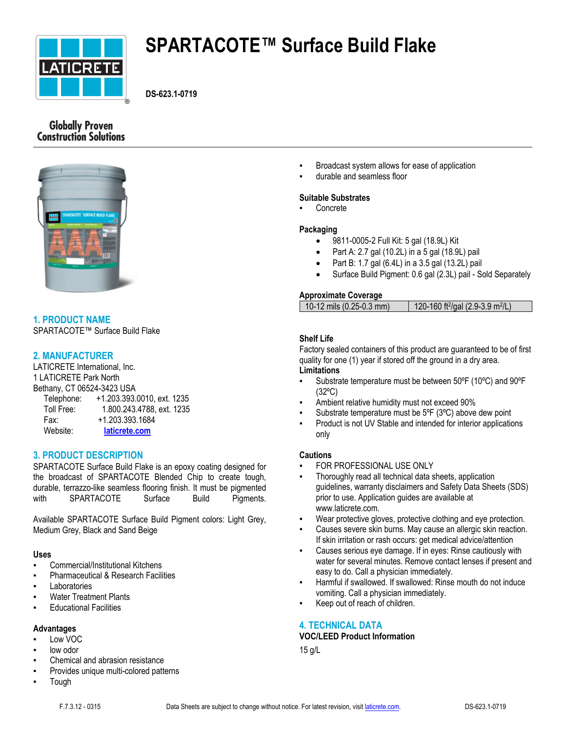

# **SPARTACOTE™ Surface Build Flake**

**DS-623.1-0719**

# **Globally Proven Construction Solutions**



# **1. PRODUCT NAME**

SPARTACOTE™ Surface Build Flake

# **2. MANUFACTURER**

LATICRETE International, Inc. 1 LATICRETE Park North Bethany, CT 06524-3423 USA

| Telephone: | +1.203.393.0010, ext. 1235 |
|------------|----------------------------|
| Toll Free: | 1.800.243.4788, ext. 1235  |
| Fax:       | +1.203.393.1684            |
| Website:   | laticrete.com              |

# **3. PRODUCT DESCRIPTION**

SPARTACOTE Surface Build Flake is an epoxy coating designed for the broadcast of SPARTACOTE Blended Chip to create tough, durable, terrazzo-like seamless flooring finish. It must be pigmented with SPARTACOTE Surface Build Pigments.

Available SPARTACOTE Surface Build Pigment colors: Light Grey, Medium Grey, Black and Sand Beige

# **Uses**

- Commercial/Institutional Kitchens
- **Pharmaceutical & Research Facilities**
- Laboratories
- **Water Treatment Plants**
- **Educational Facilities**

#### **Advantages**

- Low VOC
- low odor
- Chemical and abrasion resistance
- Provides unique multi-colored patterns
- **Tough**
- Broadcast system allows for ease of application
- durable and seamless floor

# **Suitable Substrates**

Concrete

#### **Packaging**

- 9811-0005-2 Full Kit: 5 gal (18.9L) Kit
- Part A: 2.7 gal (10.2L) in a 5 gal (18.9L) pail
- Part B: 1.7 gal (6.4L) in a 3.5 gal (13.2L) pail
- Surface Build Pigment: 0.6 gal (2.3L) pail Sold Separately

# **Approximate Coverage**

| $10-12$ mils (0.25-0.3 mm) | 120-160 ft <sup>2</sup> /gal (2.9-3.9 m <sup>2</sup> /L) |
|----------------------------|----------------------------------------------------------|
|                            |                                                          |

# **Shelf Life**

Factory sealed containers of this product are guaranteed to be of first quality for one (1) year if stored off the ground in a dry area. **Limitations**

- Substrate temperature must be between 50°F (10°C) and 90°F (32ºC)
- Ambient relative humidity must not exceed 90%
- Substrate temperature must be  $5^{\circ}F$  (3 $^{\circ}C$ ) above dew point
- Product is not UV Stable and intended for interior applications only

# **Cautions**

- FOR PROFESSIONAL USE ONLY
- Thoroughly read all technical data sheets, application guidelines, warranty disclaimers and Safety Data Sheets (SDS) prior to use. Application guides are available at www.laticrete.com.
- Wear protective gloves, protective clothing and eye protection.
- Causes severe skin burns. May cause an allergic skin reaction. If skin irritation or rash occurs: get medical advice/attention
- Causes serious eye damage. If in eyes: Rinse cautiously with water for several minutes. Remove contact lenses if present and easy to do. Call a physician immediately.
- Harmful if swallowed. If swallowed: Rinse mouth do not induce vomiting. Call a physician immediately.
- Keep out of reach of children.

# **4. TECHNICAL DATA**

## **VOC/LEED Product Information**

15 g/L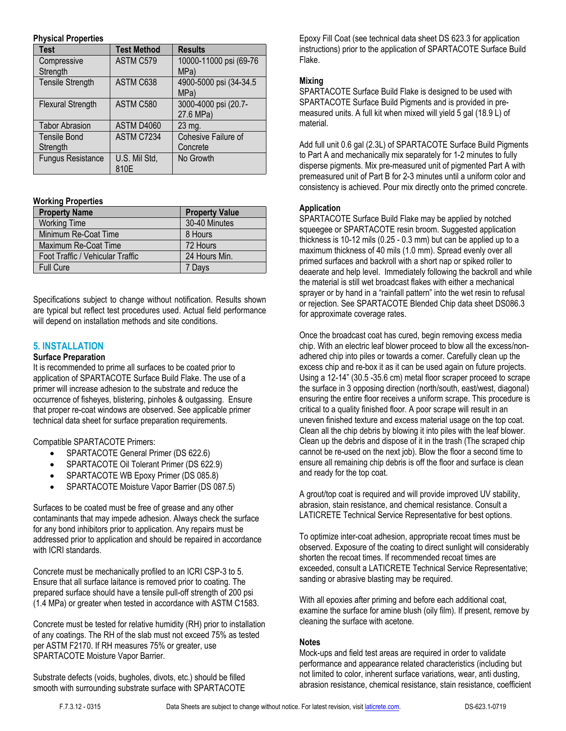#### **Physical Properties**

| <b>Test</b>              | <b>Test Method</b> | <b>Results</b>         |  |
|--------------------------|--------------------|------------------------|--|
| Compressive              | ASTM C579          | 10000-11000 psi (69-76 |  |
| Strength                 |                    | MPa)                   |  |
| <b>Tensile Strength</b>  | ASTM C638          | 4900-5000 psi (34-34.5 |  |
|                          |                    | MPa)                   |  |
| <b>Flexural Strength</b> | ASTM C580          | 3000-4000 psi (20.7-   |  |
|                          |                    | 27.6 MPa)              |  |
| <b>Tabor Abrasion</b>    | ASTM D4060         | 23 mg.                 |  |
| <b>Tensile Bond</b>      | ASTM C7234         | Cohesive Failure of    |  |
| Strength                 |                    | Concrete               |  |
| <b>Fungus Resistance</b> | U.S. Mil Std,      | No Growth              |  |
|                          | 810E               |                        |  |

#### **Working Properties**

| <b>Property Name</b>             | <b>Property Value</b> |
|----------------------------------|-----------------------|
| <b>Working Time</b>              | 30-40 Minutes         |
| Minimum Re-Coat Time             | 8 Hours               |
| Maximum Re-Coat Time             | 72 Hours              |
| Foot Traffic / Vehicular Traffic | 24 Hours Min.         |
| <b>Full Cure</b>                 | 7 Davs                |

Specifications subject to change without notification. Results shown are typical but reflect test procedures used. Actual field performance will depend on installation methods and site conditions.

# **5. INSTALLATION**

#### **Surface Preparation**

It is recommended to prime all surfaces to be coated prior to application of SPARTACOTE Surface Build Flake. The use of a primer will increase adhesion to the substrate and reduce the occurrence of fisheyes, blistering, pinholes & outgassing. Ensure that proper re-coat windows are observed. See applicable primer technical data sheet for surface preparation requirements.

Compatible SPARTACOTE Primers:

- SPARTACOTE General Primer (DS 622.6)
- SPARTACOTE Oil Tolerant Primer (DS 622.9)
- SPARTACOTE WB Epoxy Primer (DS 085.8)
- SPARTACOTE Moisture Vapor Barrier (DS 087.5)

Surfaces to be coated must be free of grease and any other contaminants that may impede adhesion. Always check the surface for any bond inhibitors prior to application. Any repairs must be addressed prior to application and should be repaired in accordance with ICRI standards.

Concrete must be mechanically profiled to an ICRI CSP-3 to 5. Ensure that all surface laitance is removed prior to coating. The prepared surface should have a tensile pull-off strength of 200 psi (1.4 MPa) or greater when tested in accordance with ASTM C1583.

Concrete must be tested for relative humidity (RH) prior to installation of any coatings. The RH of the slab must not exceed 75% as tested per ASTM F2170. If RH measures 75% or greater, use SPARTACOTE Moisture Vapor Barrier.

Substrate defects (voids, bugholes, divots, etc.) should be filled smooth with surrounding substrate surface with SPARTACOTE Epoxy Fill Coat (see technical data sheet DS 623.3 for application instructions) prior to the application of SPARTACOTE Surface Build Flake.

## **Mixing**

SPARTACOTE Surface Build Flake is designed to be used with SPARTACOTE Surface Build Pigments and is provided in premeasured units. A full kit when mixed will yield 5 gal (18.9 L) of material.

Add full unit 0.6 gal (2.3L) of SPARTACOTE Surface Build Pigments to Part A and mechanically mix separately for 1-2 minutes to fully disperse pigments. Mix pre-measured unit of pigmented Part A with premeasured unit of Part B for 2-3 minutes until a uniform color and consistency is achieved. Pour mix directly onto the primed concrete.

#### **Application**

SPARTACOTE Surface Build Flake may be applied by notched squeegee or SPARTACOTE resin broom. Suggested application thickness is 10-12 mils (0.25 - 0.3 mm) but can be applied up to a maximum thickness of 40 mils (1.0 mm). Spread evenly over all primed surfaces and backroll with a short nap or spiked roller to deaerate and help level. Immediately following the backroll and while the material is still wet broadcast flakes with either a mechanical sprayer or by hand in a "rainfall pattern" into the wet resin to refusal or rejection. See SPARTACOTE Blended Chip data sheet DS086.3 for approximate coverage rates.

Once the broadcast coat has cured, begin removing excess media chip. With an electric leaf blower proceed to blow all the excess/nonadhered chip into piles or towards a corner. Carefully clean up the excess chip and re-box it as it can be used again on future projects. Using a 12-14" (30.5 -35.6 cm) metal floor scraper proceed to scrape the surface in 3 opposing direction (north/south, east/west, diagonal) ensuring the entire floor receives a uniform scrape. This procedure is critical to a quality finished floor. A poor scrape will result in an uneven finished texture and excess material usage on the top coat. Clean all the chip debris by blowing it into piles with the leaf blower. Clean up the debris and dispose of it in the trash (The scraped chip cannot be re-used on the next job). Blow the floor a second time to ensure all remaining chip debris is off the floor and surface is clean and ready for the top coat.

A grout/top coat is required and will provide improved UV stability, abrasion, stain resistance, and chemical resistance. Consult a LATICRETE Technical Service Representative for best options.

To optimize inter-coat adhesion, appropriate recoat times must be observed. Exposure of the coating to direct sunlight will considerably shorten the recoat times. If recommended recoat times are exceeded, consult a LATICRETE Technical Service Representative; sanding or abrasive blasting may be required.

With all epoxies after priming and before each additional coat, examine the surface for amine blush (oily film). If present, remove by cleaning the surface with acetone.

#### **Notes**

Mock-ups and field test areas are required in order to validate performance and appearance related characteristics (including but not limited to color, inherent surface variations, wear, anti dusting, abrasion resistance, chemical resistance, stain resistance, coefficient